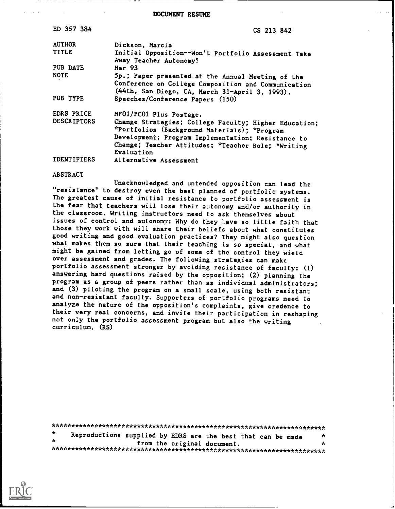DOCUMENT RESUME

| ED 357 384         | CS 213 842                                                                                                                                                                                                                      |
|--------------------|---------------------------------------------------------------------------------------------------------------------------------------------------------------------------------------------------------------------------------|
| <b>AUTHOR</b>      | Dickson, Marcia                                                                                                                                                                                                                 |
| <b>TITLE</b>       | Initial Opposition--Won't Portfolio Assessment Take<br>Away Teacher Autonomy?                                                                                                                                                   |
| PUB DATE           | Mar <sub>93</sub>                                                                                                                                                                                                               |
| <b>NOTE</b>        | 5p.; Paper presented at the Annual Meeting of the<br>Conference on College Composition and Communication<br>(44th, San Diego, CA, March 31-April 3, 1993).                                                                      |
| PUB TYPE           | Speeches/Conference Papers (150)                                                                                                                                                                                                |
| EDRS PRICE         | MF01/PC01 Plus Postage.                                                                                                                                                                                                         |
| <b>DESCRIPTORS</b> | Change Strategies; College Faculty; Higher Education;<br>*Portfolios (Background Materials); *Program<br>Development; Program Implementation; Resistance to<br>Change; Teacher Attitudes; *Teacher Role; *Writing<br>Evaluation |
| <b>IDENTIFIERS</b> | Alternative Assessment                                                                                                                                                                                                          |

## **ABSTRACT**

Unacknowledged and untended opposition can lead the "resistance" to destroy even the best planned of portfolio systems. The greatest cause of initial resistance to portfolio assessment is the fear that teachers will lose their autonomy and/or authority in the classroom. Writing instructors need to ask themselves about issues of control and autonomy: Why do they have so little faith that those they work with will share their beliefs about what constitutes good writing and good evaluation practices? They might also question what makes them so sure that their teaching is so special, and what might be gained from letting go of some of the control they wield over assessment and grades. The following strategies can make portfolio assessment stronger by avoiding resistance of faculty: (1) answering hard questions raised by the opposition; (2) planning the program as a group of peers rather than as individual administrators; and (3) piloting the program on a small scale, using both resistant and non-resistant faculty. Supporters of portfolio programs need to analyze the nature of the opposition's complaints, give credence to their very real concerns, and invite their participation in reshaping not only the portfolio assessment program but also the writing curriculum. (RS)

| $\star$ | Reproductions supplied by EDRS are the best that can be made |                             |  | $\star$ |
|---------|--------------------------------------------------------------|-----------------------------|--|---------|
| $\star$ |                                                              | from the original document. |  | $\star$ |
|         |                                                              |                             |  |         |

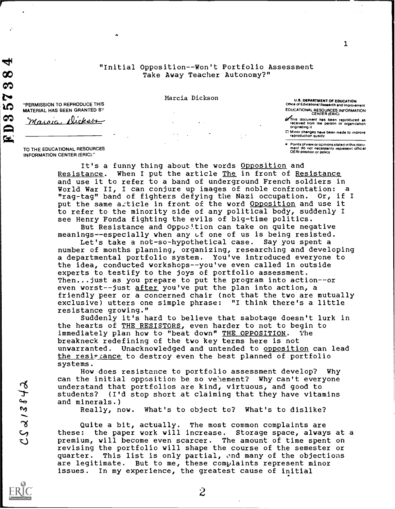# "Initial Opposition--Won't Portfolio Assessment Take Away Teacher Autonomy?"

Marcia Dickson<br> **Marcia Dickson** <sup>"</sup>PERMISSION TO REPRODUCE THIS"<br> **Marcia Dickson** (PANTED BY

 $\mathcal{L}$ 

U.S. DEPARTMENT OF EDUCATION Office of Educational Research and Improvement EDUCATIONAL RESOURCES INFORMATION CENTER (ERIC)

1

MATERIAL HAS BEEN GRANTED Maroia, Dickson

@This document has been reproduced as<br>received from the person or organization<br>originating it

Minor changes have been made to improve<br>reproduction quality

TO THE EDUCATIONAL RESOURCES INFORMATION CENTER (ERIC)."

 $\mathbf{H}_{\mathbf{q}}$ 

ထ 60

Points of view or opinions stated in this document do not necessarily represent official OERI position or policy

It's a funny thing about the words Opposition and Resistance. When I put the article The in front of Resistance and use it to refer to a band of underground French soldiers in<br>World War II, I can conjure up images of noble confrontation: a "rag-tag" band of fighters defying the Nazi occupation. Or, if I<br>put the same article in front of the word Opposition and use it to refer to the minority side of any political body, suddenly I see Henry Fonda fighting the evils of big-time politics.

But Resistance and Opposition can take on quite negative meanings--especially when any of one of us is being resisted.

Let's take a not-so-hypothetical case. Say you spent a number of months planning, organizing, researching and developing a departmental portfolio system. You've introduced everyone to the idea, conducted workshops--you've even called in outside experts to testify to the joys of portfolio assessment. Then...just as you prepare to put the program into action--or even worst--just after you've put the plan into action, a friendly peer or a concerned chair (not that the two are mutually exclusive) utters one simple phrase: "I think there's a little resistance growing."

Suddenly it's hard to believe that sabotage doesn't lurk in the hearts of THE RESISTORS, even harder to not to begin to immediately plan how to "beat down" THE OPPOSITION. The breakneck redefining of the two key terms here is not unwarranted. Unacknowledged and untended to opposition can lead the resistance to destroy even the best planned of portfolio systems.

How does resistance to portfolio assessment develop? Why can the initial opposition be so ve'lement? Why can't everyone understand that portfolios are kind, virtuous, and good to<br>students? (I'd stop short at claiming that they have vita<br>and minerals.)<br>Really, now. What's to object to? What's to dislike<br>Quite a bit, actually. The most common students? (I'd stop short at claiming that they have vitamins and minerals.)

Really, now. What's to object to? What's to dislike?

Quite a bit, actually. The most common complaints are these: the paper work will increase. Storage space, always at a premium, will become even scarcer. The amount of time spent on revising the portfolio will shape the course of the semester or quarter. This list is only partial, ond many of the objections are legitimate. But to me, these complaints represent minor issues. In my experience, the greatest cause of initial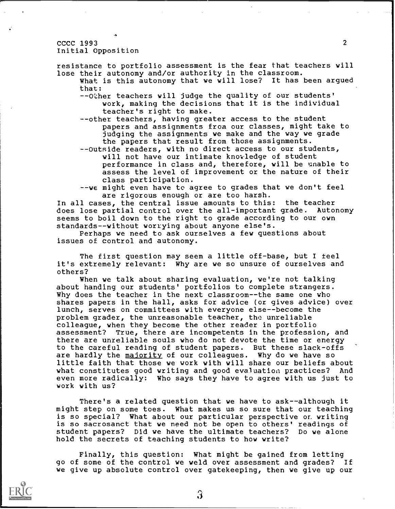#### $\text{CCCC } 1993$  2 Initial Opposition

resistance to portfolio assessment is the fear that teachers will lose their autonomy and/or authority in the classroom.

What is this autonomy that we will lose? It has been argued that:

--Other teachers will judge the quality of our students' work, making the decisions that it is the individual teacher's right to make.

--other teachers, having greater access to the student papers and assignments from our classes, might take to judging the assignments we make and the way we grade the papers that result from those assignments.

--Outside readers, with no direct access to our students, will not have our intimate knowledge of student performance in class and, therefore, will be unable to assess the level of improvement or the nature of their class participation.

--we might even have to agree to grades that we don't feel are rigorous enough or are too harsh.

In all cases, the central issue amounts to this: the teacher does lose partial control over the all-important grade. Autonomy seems to boil down to the right to grade according to our own standards--without worrying about anyone else's.

Perhaps we need to ask ourselves a few questions about issues of control and autonomy.

The first question may seem a little off-base, but I feel it's extremely relevant: Why are we so unsure of ourselves and others?

When we talk about sharing evaluation, we're not talking about handing our students' portfolios to complete strangers. Why does the teacher in the next classroom--the same one who shares papers in the hall, asks for advice (or gives advice) over lunch, serves on committees with everyone else--become the problem grader, the unreasonable teacher, tho unreliable colleague, when they become the other reader in portfolio assessment? True, there are incompetents in the profession, and there are unreliable souls who do not devote the time or energy to the careful reading of student papers. But these slack-offs are hardly the majority of our colleagues. Why do we have so little faith that those we work with will share our beliefs about what constitutes good writing and good evaluation practices? And even more radically: Who says they have to agree with us just to work with us?

There's a related question that we have to ask--although it might step on some toes. What makes us so sure that our teaching is so special? What about our particular perspective or writing is so sacrosanct that we need not be open to others' readings of student papers? Did we have the ultimate teachers? Do we alone hold the secrets of teaching students to how write?

Finally, this question: What might be gained from letting go of some of the control we weld over assessment and grades? If we give up absolute control over gatekeeping, then we give up our

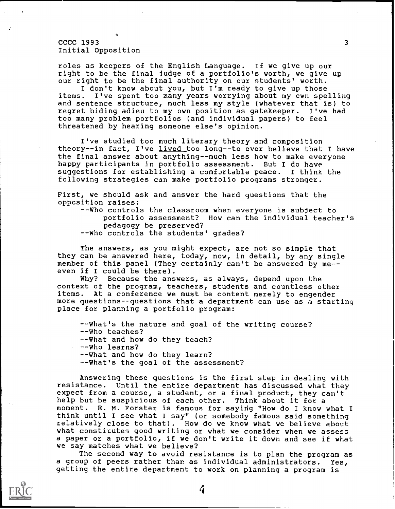# $\text{CCCC } 1993$  3 Initial Opposition

roles as keepers of the English Language. If we give up our right to be the final judge of a portfolio's worth, we give up our right to be the final authority on our students' worth.

I don't know about you, but I'm ready to give up those items. I've spent too many years worrying about my cwn spe I've spent too many years worrying about my own spelling and sentence structure, much less my style (whatever that is) to regret biding adieu to my own position as gatekeeper. I've had too many problem portfolios (and individual papers) to feel threatened by hearing someone else's opinion.

I've studied too much literary theory and composition theory--in fact, I've lived too long--to ever believe that I have the final answer about anything--much less how to make everyone happy participants in portfolio assessment. But I do have suggestions for establishing a comfortable peace. I thinx the following strategies can make portfolio programs stronger.

First, we should ask and answer the hard questions that the opposition raises:

--Who controls the classroom when everyone is subject to portfolio assessment? How can the individual teacher's pedagogy be preserved?

--Who controls the students' grades?

The answers, as you might expect, are not so simple that they can be answered here, today, now, in detail, by any single member of this panel (They certainly can't be answered by me even if I could be there).

Why? Because the answers, as always, depend upon the context of the program, teachers, students and countless other items. At a conference we must be content merely to engender more questions--questions that a department can use as a starting place for planning a portfolio program:

--What's the nature and goal of the writing course? --Who teaches? --What and how do they teach? --Who learns? --What and how do they learn? --What's the goal of the assessment?

Answering these questions is the first step in dealing with resistance. Until the entire department has discussed what they expect from a course, a student, or a final product, they can't help but be suspicious of each other. Think about it for a moment. E. M. Forster is famous for saying "How do I know what I think until I see what I say" (or somebody famous said something relatively close to that). How do we know what we believe about what constitutes good writing or what we consider when we assess a paper or a portfolio, if we don't write it down and see if what we say matches what we believe?

The second way to avoid resistance is to plan the program as a group of peers rather than as individual administrators. Yes, getting the entire department to work on planning a program is